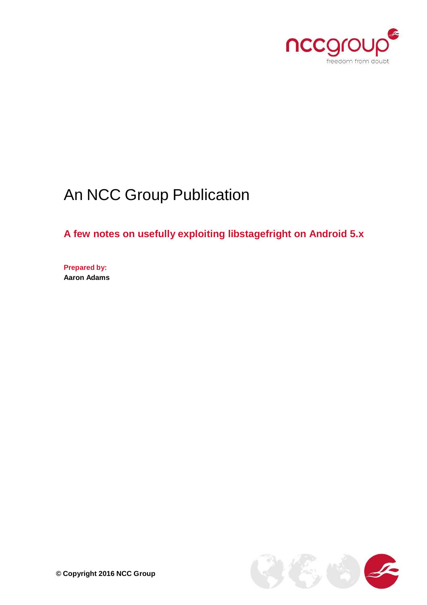

# An NCC Group Publication

**A few notes on usefully exploiting libstagefright on Android 5.x**

**Prepared by: Aaron Adams**

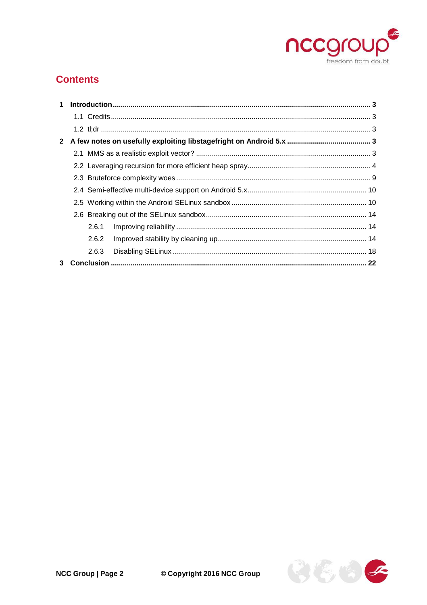

# **Contents**

|   | 2.6.1 |  |
|---|-------|--|
|   | 2.6.2 |  |
|   | 2.6.3 |  |
| 3 |       |  |

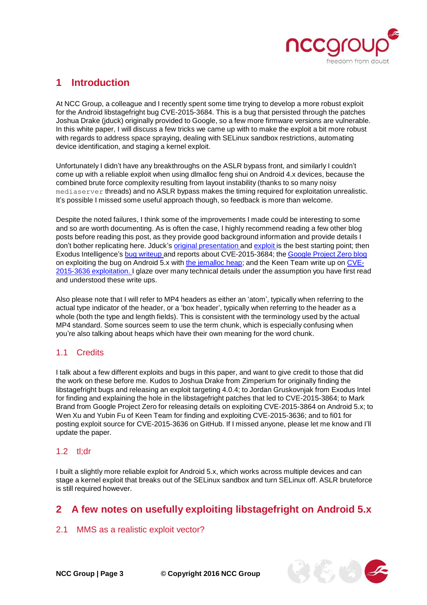

# <span id="page-2-0"></span>**1 Introduction**

At NCC Group, a colleague and I recently spent some time trying to develop a more robust exploit for the Android libstagefright bug CVE-2015-3684. This is a bug that persisted through the patches Joshua Drake (jduck) originally provided to Google, so a few more firmware versions are vulnerable. In this white paper, I will discuss a few tricks we came up with to make the exploit a bit more robust with regards to address space spraying, dealing with SELinux sandbox restrictions, automating device identification, and staging a kernel exploit.

Unfortunately I didn't have any breakthroughs on the ASLR bypass front, and similarly I couldn't come up with a reliable exploit when using dlmalloc feng shui on Android 4.x devices, because the combined brute force complexity resulting from layout instability (thanks to so many noisy mediaserver threads) and no ASLR bypass makes the timing required for exploitation unrealistic. It's possible I missed some useful approach though, so feedback is more than welcome.

Despite the noted failures, I think some of the improvements I made could be interesting to some and so are worth documenting. As is often the case, I highly recommend reading a few other blog posts before reading this post, as they provide good background information and provide details I don't bother replicating here. Jduck's original [presentation](https://www.blackhat.com/docs/us-15/materials/us-15-Drake-Stagefright-Scary-Code-In-The-Heart-Of-Android.pdf) and [exploit](https://blog.zimperium.com/the-latest-on-stagefright-cve-2015-1538-exploit-is-now-available-for-testing-purposes/) is the best starting point; then Exodus Intelligence's bug [writeup](https://blog.exodusintel.com/2015/08/13/stagefright-mission-accomplished/) and reports about CVE-2015-3684; the [Google](http://googleprojectzero.blogspot.ca/2015/09/stagefrightened.html) Project Zero blog on exploiting the bug on Android 5.x with the [jemalloc](http://phrack.com/issues/68/10.html#article) heap; and the Keen Team write up on [CVE-](https://www.usenix.org/system/files/conference/woot15/woot15-paper-xu.pdf)2015-3636 [exploitation.](https://www.usenix.org/system/files/conference/woot15/woot15-paper-xu.pdf) I glaze over many technical details under the assumption you have first read and understood these write ups.

Also please note that I will refer to MP4 headers as either an 'atom', typically when referring to the actual type indicator of the header, or a 'box header', typically when referring to the header as a whole (both the type and length fields). This is consistent with the terminology used by the actual MP4 standard. Some sources seem to use the term chunk, which is especially confusing when you're also talking about heaps which have their own meaning for the word chunk.

## <span id="page-2-1"></span>1.1 Credits

I talk about a few different exploits and bugs in this paper, and want to give credit to those that did the work on these before me. Kudos to Joshua Drake from Zimperium for originally finding the libstagefright bugs and releasing an exploit targeting 4.0.4; to Jordan Gruskovnjak from Exodus Intel for finding and explaining the hole in the libstagefright patches that led to CVE-2015-3864; to Mark Brand from Google Project Zero for releasing details on exploiting CVE-2015-3864 on Android 5.x; to Wen Xu and Yubin Fu of Keen Team for finding and exploiting CVE-2015-3636; and to fi01 for posting exploit source for CVE-2015-3636 on GitHub. If I missed anyone, please let me know and I'll update the paper.

## <span id="page-2-2"></span> $1.2$  tl $dr$

I built a slightly more reliable exploit for Android 5.x, which works across multiple devices and can stage a kernel exploit that breaks out of the SELinux sandbox and turn SELinux off. ASLR bruteforce is still required however.

## <span id="page-2-3"></span>**2 A few notes on usefully exploiting libstagefright on Android 5.x**

#### <span id="page-2-4"></span>2.1 MMS as a realistic exploit vector?

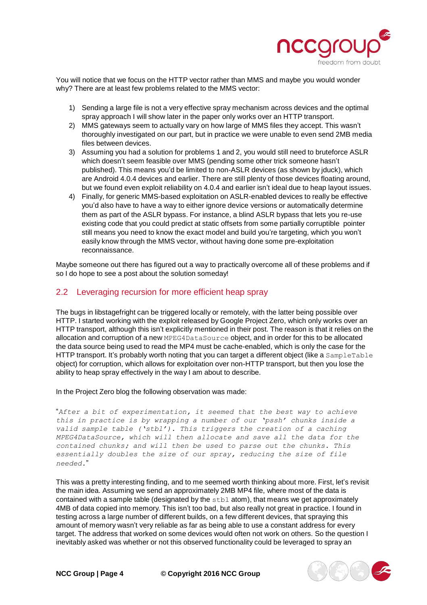

You will notice that we focus on the HTTP vector rather than MMS and maybe you would wonder why? There are at least few problems related to the MMS vector:

- 1) Sending a large file is not a very effective spray mechanism across devices and the optimal spray approach I will show later in the paper only works over an HTTP transport.
- 2) MMS gateways seem to actually vary on how large of MMS files they accept. This wasn't thoroughly investigated on our part, but in practice we were unable to even send 2MB media files between devices.
- 3) Assuming you had a solution for problems 1 and 2, you would still need to bruteforce ASLR which doesn't seem feasible over MMS (pending some other trick someone hasn't published). This means you'd be limited to non-ASLR devices (as shown by jduck), which are Android 4.0.4 devices and earlier. There are still plenty of those devices floating around, but we found even exploit reliability on 4.0.4 and earlier isn't ideal due to heap layout issues.
- 4) Finally, for generic MMS-based exploitation on ASLR-enabled devices to really be effective you'd also have to have a way to either ignore device versions or automatically determine them as part of the ASLR bypass. For instance, a blind ASLR bypass that lets you re-use existing code that you could predict at static offsets from some partially corruptible pointer still means you need to know the exact model and build you're targeting, which you won't easily know through the MMS vector, without having done some pre-exploitation reconnaissance.

Maybe someone out there has figured out a way to practically overcome all of these problems and if so I do hope to see a post about the solution someday!

## <span id="page-3-0"></span>2.2 Leveraging recursion for more efficient heap spray

The bugs in libstagefright can be triggered locally or remotely, with the latter being possible over HTTP. I started working with the exploit released by Google Project Zero, which only works over an HTTP transport, although this isn't explicitly mentioned in their post. The reason is that it relies on the allocation and corruption of a new MPEG4DataSource object, and in order for this to be allocated the data source being used to read the MP4 must be cache-enabled, which is only the case for the HTTP transport. It's probably worth noting that you can target a different object (like a SampleTable object) for corruption, which allows for exploitation over non-HTTP transport, but then you lose the ability to heap spray effectively in the way I am about to describe.

#### In the Project Zero blog the following observation was made:

"*After a bit of experimentation, it seemed that the best way to achieve this in practice is by wrapping a number of our 'pssh' chunks inside a valid sample table ('stbl'). This triggers the creation of a caching MPEG4DataSource, which will then allocate and save all the data for the contained chunks; and will then be used to parse out the chunks. This essentially doubles the size of our spray, reducing the size of file needed.*"

This was a pretty interesting finding, and to me seemed worth thinking about more. First, let's revisit the main idea. Assuming we send an approximately 2MB MP4 file, where most of the data is contained with a sample table (designated by the  $\text{stbl}$  atom), that means we get approximately 4MB of data copied into memory. This isn't too bad, but also really not great in practice. I found in testing across a large number of different builds, on a few different devices, that spraying this amount of memory wasn't very reliable as far as being able to use a constant address for every target. The address that worked on some devices would often not work on others. So the question I inevitably asked was whether or not this observed functionality could be leveraged to spray an

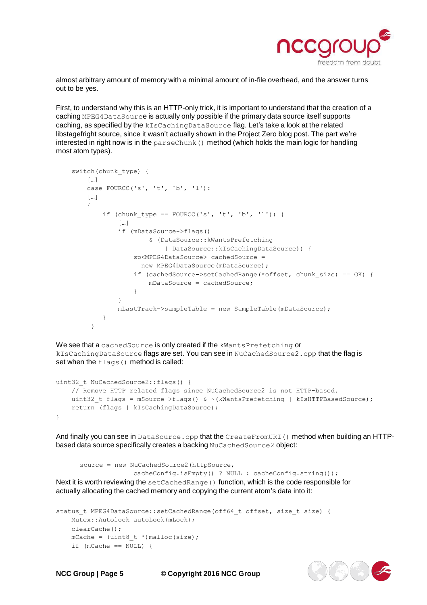

almost arbitrary amount of memory with a minimal amount of in-file overhead, and the answer turns out to be yes.

First, to understand why this is an HTTP-only trick, it is important to understand that the creation of a caching MPEG4DataSource is actually only possible if the primary data source itself supports caching, as specified by the kIsCachingDataSource flag. Let's take a look at the related libstagefright source, since it wasn't actually shown in the Project Zero blog post. The part we're interested in right now is in the parseChunk() method (which holds the main logic for handling most atom types).

```
switch(chunk_type) { 
    […]
    case FOURCC('s', 't', 'b', 'l'):
    […]
    {
        if (chunk_type == FOURCC('s', 't', 'b', 'l')) {
            […]
            if (mDataSource->flags()
                    & (DataSource::kWantsPrefetching
                        | DataSource::kIsCachingDataSource)) { 
                sp<MPEG4DataSource> cachedSource =
                  new MPEG4DataSource(mDataSource);
                if (cachedSource->setCachedRange(*offset, chunk_size) == OK) { 
                    mDataSource = cachedSource;
                }
            }
            mLastTrack->sampleTable = new SampleTable(mDataSource);
        }
     }
```
We see that a cachedSource is only created if the kWantsPrefetching or kIsCachingDataSource flags are set. You can see in NuCachedSource2.cpp that the flag is set when the flags() method is called:

```
uint32 t NuCachedSource2::flags() {
    // Remove HTTP related flags since NuCachedSource2 is not HTTP-based. 
   uint32 t flags = mSource->flags() & ~(kWantsPrefetching | kIsHTTPBasedSource);
   return (flags | kIsCachingDataSource);
}
```
And finally you can see in DataSource.cpp that the CreateFromURI() method when building an HTTPbased data source specifically creates a backing NuCachedSource2 object:

```
source = new NuCachedSource2(httpSource,
                      cacheConfig.isEmpty() ? NULL : cacheConfig.string()); 
Next it is worth reviewing the setCachedRange () function, which is the code responsible for
actually allocating the cached memory and copying the current atom's data into it:
```

```
status_t MPEG4DataSource::setCachedRange(off64_t offset, size_t size) { 
   Mutex::Autolock autoLock(mLock);
   clearCache();
   mCache = (uint8_t *)malloc(size);
   if (mCache == NULL) {
```


**NCC Group | Page 5 © Copyright 2016 NCC Group**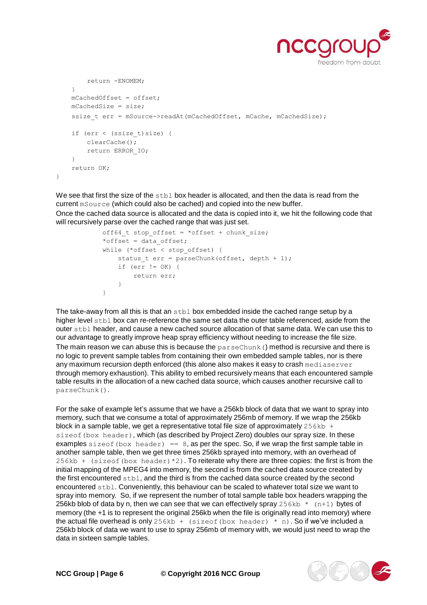

```
return -ENOMEM;
    }
    mCachedOffset = offset; 
    mCachedSize = size;
    ssize t err = mSource->readAt(mCachedOffset, mCache, mCachedSize);
    if (err < (ssize_t)size) { 
       clearCache();
        return ERROR_IO;
    }
   return OK;
}
```
We see that first the size of the  $\text{stab}$  box header is allocated, and then the data is read from the current mSource (which could also be cached) and copied into the new buffer. Once the cached data source is allocated and the data is copied into it, we hit the following code that will recursively parse over the cached range that was just set.

```
off64_t stop_offset = *offset + chunk_size;
*offset = data_offset;
while (*offset < stop_offset) {
   status_t err = parseChunk(offset, depth + 1); 
   if (err != OK) {
       return err;
   }
}
```
The take-away from all this is that an stbl box embedded inside the cached range setup by a higher level stbl box can re-reference the same set data the outer table referenced, aside from the outer stbl header, and cause a new cached source allocation of that same data. We can use this to our advantage to greatly improve heap spray efficiency without needing to increase the file size. The main reason we can abuse this is because the  $_{\text{parseChunk}}$  () method is recursive and there is no logic to prevent sample tables from containing their own embedded sample tables, nor is there any maximum recursion depth enforced (this alone also makes it easy to crash mediaserver through memory exhaustion). This ability to embed recursively means that each encountered sample table results in the allocation of a new cached data source, which causes another recursive call to parseChunk().

For the sake of example let's assume that we have a 256kb block of data that we want to spray into memory, such that we consume a total of approximately 256mb of memory. If we wrap the 256kb block in a sample table, we get a representative total file size of approximately  $256kb$  + sizeof (box header), which (as described by Project Zero) doubles our spray size. In these examples sizeof (box header) ==  $8$ , as per the spec. So, if we wrap the first sample table in another sample table, then we get three times 256kb sprayed into memory, with an overhead of 256kb + (sizeof(box header)  $*2$ ). To reiterate why there are three copies: the first is from the initial mapping of the MPEG4 into memory, the second is from the cached data source created by the first encountered stbl, and the third is from the cached data source created by the second encountered stbl. Conveniently, this behaviour can be scaled to whatever total size we want to spray into memory. So, if we represent the number of total sample table box headers wrapping the 256kb blob of data by n, then we can see that we can effectively spray  $256kb \rightarrow (n+1)$  bytes of memory (the +1 is to represent the original 256kb when the file is originally read into memory) where the actual file overhead is only 256kb + (sizeof(box header)  $*$  n). So if we've included a 256kb block of data we want to use to spray 256mb of memory with, we would just need to wrap the data in sixteen sample tables.

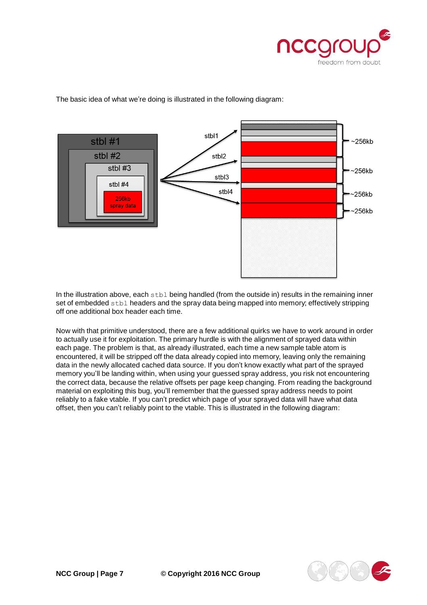



The basic idea of what we're doing is illustrated in the following diagram:

In the illustration above, each stbl being handled (from the outside in) results in the remaining inner set of embedded stbl headers and the spray data being mapped into memory; effectively stripping off one additional box header each time.

Now with that primitive understood, there are a few additional quirks we have to work around in order to actually use it for exploitation. The primary hurdle is with the alignment of sprayed data within each page. The problem is that, as already illustrated, each time a new sample table atom is encountered, it will be stripped off the data already copied into memory, leaving only the remaining data in the newly allocated cached data source. If you don't know exactly what part of the sprayed memory you'll be landing within, when using your guessed spray address, you risk not encountering the correct data, because the relative offsets per page keep changing. From reading the background material on exploiting this bug, you'll remember that the guessed spray address needs to point reliably to a fake vtable. If you can't predict which page of your sprayed data will have what data offset, then you can't reliably point to the vtable. This is illustrated in the following diagram:

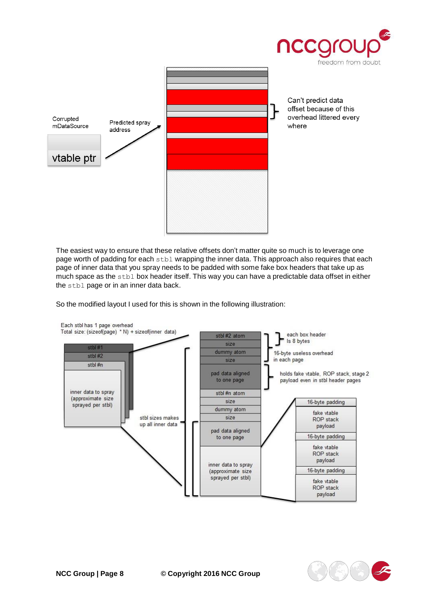

The easiest way to ensure that these relative offsets don't matter quite so much is to leverage one page worth of padding for each stbl wrapping the inner data. This approach also requires that each page of inner data that you spray needs to be padded with some fake box headers that take up as much space as the stbl box header itself. This way you can have a predictable data offset in either the stbl page or in an inner data back.

So the modified layout I used for this is shown in the following illustration:

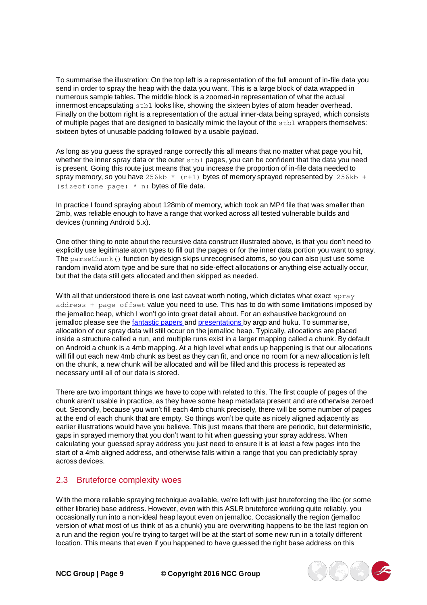To summarise the illustration: On the top left is a representation of the full amount of in-file data you send in order to spray the heap with the data you want. This is a large block of data wrapped in numerous sample tables. The middle block is a zoomed-in representation of what the actual innermost encapsulating stbl looks like, showing the sixteen bytes of atom header overhead. Finally on the bottom right is a representation of the actual inner-data being sprayed, which consists of multiple pages that are designed to basically mimic the layout of the stbl wrappers themselves: sixteen bytes of unusable padding followed by a usable payload.

As long as you guess the sprayed range correctly this all means that no matter what page you hit, whether the inner spray data or the outer stbl pages, you can be confident that the data you need is present. Going this route just means that you increase the proportion of in-file data needed to spray memory, so you have  $256kb * (n+1)$  bytes of memory sprayed represented by  $256kb +$ (sizeof(one page)  $*$  n) bytes of file data.

In practice I found spraying about 128mb of memory, which took an MP4 file that was smaller than 2mb, was reliable enough to have a range that worked across all tested vulnerable builds and devices (running Android 5.x).

One other thing to note about the recursive data construct illustrated above, is that you don't need to explicitly use legitimate atom types to fill out the pages or for the inner data portion you want to spray. The parseChunk() function by design skips unrecognised atoms, so you can also just use some random invalid atom type and be sure that no side-effect allocations or anything else actually occur, but that the data still gets allocated and then skipped as needed.

With all that understood there is one last caveat worth noting, which dictates what exact  $spray$ address + page offset value you need to use. This has to do with some limitations imposed by the jemalloc heap, which I won't go into great detail about. For an exhaustive background on jemalloc please see the [fantastic](http://phrack.org/issues/68/10.html#article) [papers](http://phrack.org/issues/68/10.html#article) and [presentations](https://www.youtube.com/watch?v=7kgGVPhB2fk) by argp and huku. To summarise, allocation of our spray data will still occur on the jemalloc heap. Typically, allocations are placed inside a structure called a run, and multiple runs exist in a larger mapping called a chunk. By default on Android a chunk is a 4mb mapping. At a high level what ends up happening is that our allocations will fill out each new 4mb chunk as best as they can fit, and once no room for a new allocation is left on the chunk, a new chunk will be allocated and will be filled and this process is repeated as necessary until all of our data is stored.

There are two important things we have to cope with related to this. The first couple of pages of the chunk aren't usable in practice, as they have some heap metadata present and are otherwise zeroed out. Secondly, because you won't fill each 4mb chunk precisely, there will be some number of pages at the end of each chunk that are empty. So things won't be quite as nicely aligned adjacently as earlier illustrations would have you believe. This just means that there are periodic, but deterministic, gaps in sprayed memory that you don't want to hit when guessing your spray address. When calculating your guessed spray address you just need to ensure it is at least a few pages into the start of a 4mb aligned address, and otherwise falls within a range that you can predictably spray across devices.

#### <span id="page-8-0"></span>2.3 Bruteforce complexity woes

With the more reliable spraying technique available, we're left with just bruteforcing the libc (or some either librarie) base address. However, even with this ASLR bruteforce working quite reliably, you occasionally run into a non-ideal heap layout even on jemalloc. Occasionally the region (jemalloc version of what most of us think of as a chunk) you are overwriting happens to be the last region on a run and the region you're trying to target will be at the start of some new run in a totally different location. This means that even if you happened to have guessed the right base address on this

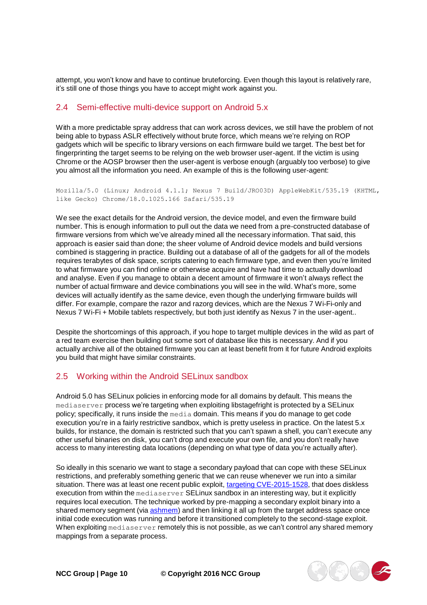attempt, you won't know and have to continue bruteforcing. Even though this layout is relatively rare, it's still one of those things you have to accept might work against you.

#### <span id="page-9-0"></span>2.4 Semi-effective multi-device support on Android 5.x

With a more predictable spray address that can work across devices, we still have the problem of not being able to bypass ASLR effectively without brute force, which means we're relying on ROP gadgets which will be specific to library versions on each firmware build we target. The best bet for fingerprinting the target seems to be relying on the web browser user-agent. If the victim is using Chrome or the AOSP browser then the user-agent is verbose enough (arguably too verbose) to give you almost all the information you need. An example of this is the following user-agent:

Mozilla/5.0 (Linux; Android 4.1.1; Nexus 7 Build/JRO03D) AppleWebKit/535.19 (KHTML, like Gecko) Chrome/18.0.1025.166 Safari/535.19

We see the exact details for the Android version, the device model, and even the firmware build number. This is enough information to pull out the data we need from a pre-constructed database of firmware versions from which we've already mined all the necessary information. That said, this approach is easier said than done; the sheer volume of Android device models and build versions combined is staggering in practice. Building out a database of all of the gadgets for all of the models requires terabytes of disk space, scripts catering to each firmware type, and even then you're limited to what firmware you can find online or otherwise acquire and have had time to actually download and analyse. Even if you manage to obtain a decent amount of firmware it won't always reflect the number of actual firmware and device combinations you will see in the wild. What's more, some devices will actually identify as the same device, even though the underlying firmware builds will differ. For example, compare the razor and razorg devices, which are the Nexus 7 Wi-Fi-only and Nexus 7 Wi-Fi + Mobile tablets respectively, but both just identify as Nexus 7 in the user-agent..

Despite the shortcomings of this approach, if you hope to target multiple devices in the wild as part of a red team exercise then building out some sort of database like this is necessary. And if you actually archive all of the obtained firmware you can at least benefit from it for future Android exploits you build that might have similar constraints.

## <span id="page-9-1"></span>2.5 Working within the Android SELinux sandbox

Android 5.0 has SELinux policies in enforcing mode for all domains by default. This means the mediaserver process we're targeting when exploiting libstagefright is protected by a SELinux policy; specifically, it runs inside the media domain. This means if you do manage to get code execution you're in a fairly restrictive sandbox, which is pretty useless in practice. On the latest 5.x builds, for instance, the domain is restricted such that you can't spawn a shell, you can't execute any other useful binaries on disk, you can't drop and execute your own file, and you don't really have access to many interesting data locations (depending on what type of data you're actually after).

So ideally in this scenario we want to stage a secondary payload that can cope with these SELinux restrictions, and preferably something generic that we can reuse whenever we run into a similar situation. There was at least one recent public exploit, targeting [CVE-2015-1528,](https://github.com/secmob/PoCForCVE-2015-1528) that does diskless execution from within the mediaserver SELinux sandbox in an interesting way, but it explicitly requires local execution. The technique worked by pre-mapping a secondary exploit binary into a shared memory segment (via [ashmem\)](http://www.elinux.org/Android_Kernel_Features#ashmem) and then linking it all up from the target address space once initial code execution was running and before it transitioned completely to the second-stage exploit. When exploiting mediaserver remotely this is not possible, as we can't control any shared memory mappings from a separate process.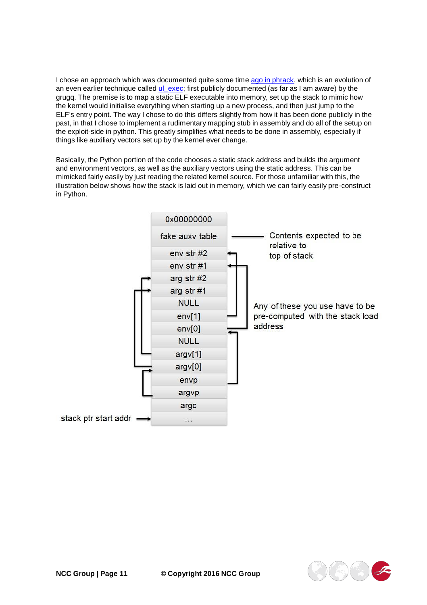I chose an approach which was documented quite some time ago in [phrack,](http://phrack.org/issues/63/11.html#article) which is an evolution of an even earlier technique called [ul\\_exec;](http://www.hcunix.net/papers/grugq_ul_exec.txt) first publicly documented (as far as I am aware) by the grugq. The premise is to map a static ELF executable into memory, set up the stack to mimic how the kernel would initialise everything when starting up a new process, and then just jump to the ELF's entry point. The way I chose to do this differs slightly from how it has been done publicly in the past, in that I chose to implement a rudimentary mapping stub in assembly and do all of the setup on the exploit-side in python. This greatly simplifies what needs to be done in assembly, especially if things like auxiliary vectors set up by the kernel ever change.

Basically, the Python portion of the code chooses a static stack address and builds the argument and environment vectors, as well as the auxiliary vectors using the static address. This can be mimicked fairly easily by just reading the related kernel source. For those unfamiliar with this, the illustration below shows how the stack is laid out in memory, which we can fairly easily pre-construct in Python.



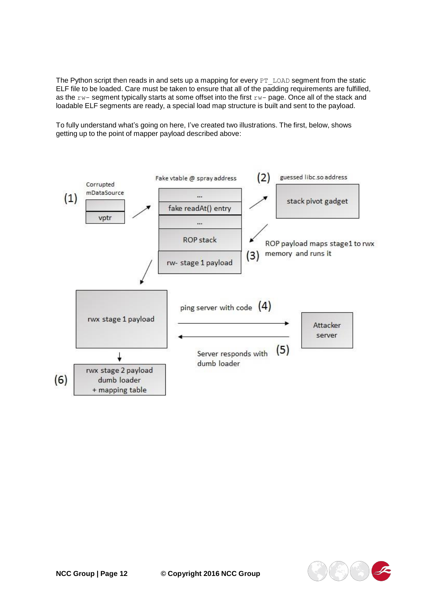The Python script then reads in and sets up a mapping for every  $PT$  LOAD segment from the static ELF file to be loaded. Care must be taken to ensure that all of the padding requirements are fulfilled, as the rw- segment typically starts at some offset into the first rw- page. Once all of the stack and loadable ELF segments are ready, a special load map structure is built and sent to the payload.

To fully understand what's going on here, I've created two illustrations. The first, below, shows getting up to the point of mapper payload described above:



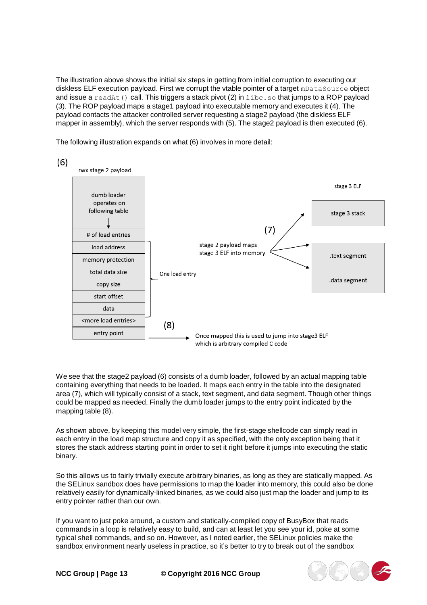The illustration above shows the initial six steps in getting from initial corruption to executing our diskless ELF execution payload. First we corrupt the vtable pointer of a target mDataSource object and issue a readAt() call. This triggers a stack pivot (2) in  $\text{libc.s}$  that jumps to a ROP payload (3). The ROP payload maps a stage1 payload into executable memory and executes it (4). The payload contacts the attacker controlled server requesting a stage2 payload (the diskless ELF mapper in assembly), which the server responds with (5). The stage2 payload is then executed (6).

The following illustration expands on what (6) involves in more detail:



We see that the stage2 payload (6) consists of a dumb loader, followed by an actual mapping table containing everything that needs to be loaded. It maps each entry in the table into the designated area (7), which will typically consist of a stack, text segment, and data segment. Though other things could be mapped as needed. Finally the dumb loader jumps to the entry point indicated by the mapping table (8).

As shown above, by keeping this model very simple, the first-stage shellcode can simply read in each entry in the load map structure and copy it as specified, with the only exception being that it stores the stack address starting point in order to set it right before it jumps into executing the static binary.

So this allows us to fairly trivially execute arbitrary binaries, as long as they are statically mapped. As the SELinux sandbox does have permissions to map the loader into memory, this could also be done relatively easily for dynamically-linked binaries, as we could also just map the loader and jump to its entry pointer rather than our own.

If you want to just poke around, a custom and statically-compiled copy of BusyBox that reads commands in a loop is relatively easy to build, and can at least let you see your id, poke at some typical shell commands, and so on. However, as I noted earlier, the SELinux policies make the sandbox environment nearly useless in practice, so it's better to try to break out of the sandbox

**NCC Group | Page 13 © Copyright 2016 NCC Group**

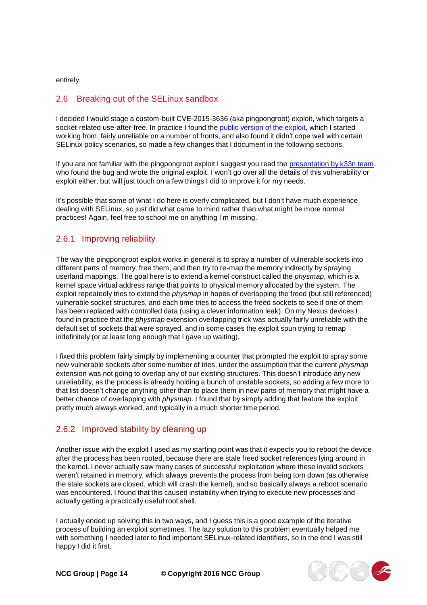entirely.

#### <span id="page-13-0"></span>2.6 Breaking out of the SELinux sandbox

I decided I would stage a custom-built CVE-2015-3636 (aka pingpongroot) exploit, which targets a socket-related use-after-free. In practice I found the public [version](https://github.com/fi01/CVE-2015-3636) of the exploit, which I started working from, fairly unreliable on a number of fronts, and also found it didn't cope well with certain SELinux policy scenarios, so made a few changes that I document in the following sections.

If you are not familiar with the pingpongroot exploit I suggest you read the [presentation](http://gsec.hitb.org/materials/sg2015/D3%20-%20Wen%20Xu%20-%20Root%20Hundreds%20and%20Thousands%20of%20Android%20Devices%20with%20One%20Generic%20Exploit.pdf) by k33n team, who found the bug and wrote the original exploit. I won't go over all the details of this vulnerability or exploit either, but will just touch on a few things I did to improve it for my needs.

It's possible that some of what I do here is overly complicated, but I don't have much experience dealing with SELinux, so just did what came to mind rather than what might be more normal practices! Again, feel free to school me on anything I'm missing.

## <span id="page-13-1"></span>2.6.1 Improving reliability

The way the pingpongroot exploit works in general is to spray a number of vulnerable sockets into different parts of memory, free them, and then try to re-map the memory indirectly by spraying userland mappings. The goal here is to extend a kernel construct called the *physmap*, which is a kernel space virtual address range that points to physical memory allocated by the system. The exploit repeatedly tries to extend the *physmap* in hopes of overlapping the freed (but still referenced) vulnerable socket structures, and each time tries to access the freed sockets to see if one of them has been replaced with controlled data (using a clever information leak). On my Nexus devices I found in practice that the *physmap* extension overlapping trick was actually fairly unreliable with the default set of sockets that were sprayed, and in some cases the exploit spun trying to remap indefinitely (or at least long enough that I gave up waiting).

I fixed this problem fairly simply by implementing a counter that prompted the exploit to spray some new vulnerable sockets after some number of tries, under the assumption that the current *physmap* extension was not going to overlap any of our existing structures. This doesn't introduce any new unreliability, as the process is already holding a bunch of unstable sockets, so adding a few more to that list doesn't change anything other than to place them in new parts of memory that might have a better chance of overlapping with *physmap*. I found that by simply adding that feature the exploit pretty much always worked, and typically in a much shorter time period.

## <span id="page-13-2"></span>2.6.2 Improved stability by cleaning up

Another issue with the exploit I used as my starting point was that it expects you to reboot the device after the process has been rooted, because there are stale freed socket references lying around in the kernel. I never actually saw many cases of successful exploitation where these invalid sockets weren't retained in memory, which always prevents the process from being torn down (as otherwise the stale sockets are closed, which will crash the kernel), and so basically always a reboot scenario was encountered. I found that this caused instability when trying to execute new processes and actually getting a practically useful root shell.

I actually ended up solving this in two ways, and I guess this is a good example of the iterative process of building an exploit sometimes. The lazy solution to this problem eventually helped me with something I needed later to find important SELinux-related identifiers, so in the end I was still happy I did it first.

**NCC Group | Page 14 © Copyright 2016 NCC Group**

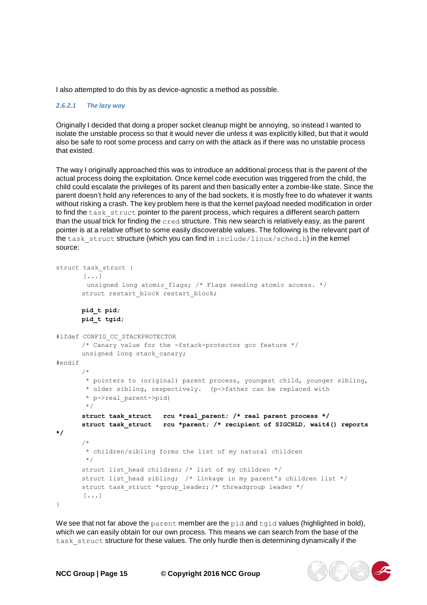I also attempted to do this by as device-agnostic a method as possible.

#### *2.6.2.1 The lazy way*

Originally I decided that doing a proper socket cleanup might be annoying, so instead I wanted to isolate the unstable process so that it would never die unless it was explicitly killed, but that it would also be safe to root some process and carry on with the attack as if there was no unstable process that existed.

The way I originally approached this was to introduce an additional process that is the parent of the actual process doing the exploitation. Once kernel code execution was triggered from the child, the child could escalate the privileges of its parent and then basically enter a zombie-like state. Since the parent doesn't hold any references to any of the bad sockets, it is mostly free to do whatever it wants without risking a crash. The key problem here is that the kernel payload needed modification in order to find the task struct pointer to the parent process, which requires a different search pattern than the usual trick for finding the cred structure. This new search is relatively easy, as the parent pointer is at a relative offset to some easily discoverable values. The following is the relevant part of the task struct structure (which you can find in include/linux/sched.h) in the kernel source:

```
struct task_struct { 
      [...]
       unsigned long atomic_flags; /* Flags needing atomic access. */ 
      struct restart block restart block;
      pid_t pid; 
      pid_t tgid;
#ifdef CONFIG_CC_STACKPROTECTOR
      /* Canary value for the -fstack-protector gcc feature */unsigned long stack_canary;
#endif
*/
}
      /*
       * pointers to (original) parent process, youngest child, younger sibling,
       * older sibling, respectively. (p->father can be replaced with
       * p->real_parent->pid)
       */
      struct task_struct rcu *real_parent; /* real parent process */
      struct task_struct rcu *parent; /* recipient of SIGCHLD, wait4() reports
      /*
       * children/sibling forms the list of my natural children
       */
      struct list head children; /* list of my children */
      struct list head sibling; /* linkage in my parent's children list */
      struct task struct *group leader; /* threadgroup leader */
       [...]
```
We see that not far above the parent member are the pid and  $t$ gid values (highlighted in bold), which we can easily obtain for our own process. This means we can search from the base of the task struct structure for these values. The only hurdle then is determining dynamically if the

**NCC Group | Page 15 © Copyright 2016 NCC Group**

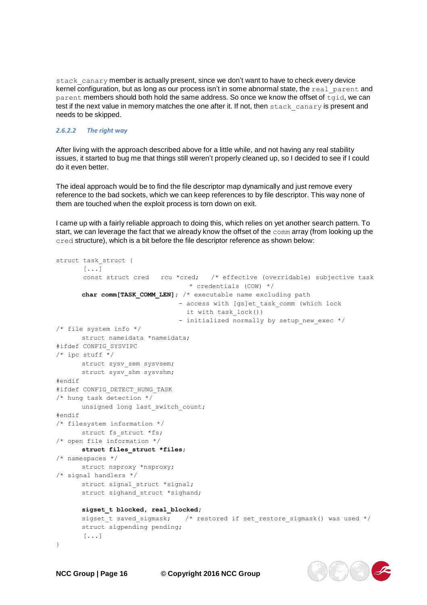stack canary member is actually present, since we don't want to have to check every device kernel configuration, but as long as our process isn't in some abnormal state, the real parent and parent members should both hold the same address. So once we know the offset of tgid, we can test if the next value in memory matches the one after it. If not, then stack canary is present and needs to be skipped.

#### *2.6.2.2 The right way*

After living with the approach described above for a little while, and not having any real stability issues, it started to bug me that things still weren't properly cleaned up, so I decided to see if I could do it even better.

The ideal approach would be to find the file descriptor map dynamically and just remove every reference to the bad sockets, which we can keep references to by file descriptor. This way none of them are touched when the exploit process is torn down on exit.

I came up with a fairly reliable approach to doing this, which relies on yet another search pattern. To start, we can leverage the fact that we already know the offset of the comm array (from looking up the cred structure), which is a bit before the file descriptor reference as shown below:

```
struct task struct {
      [...]
      const struct cred rcu *cred; /* effective (overridable) subjective task
                                 * credentials (COW) */
      char comm[TASK_COMM_LEN]; /* executable name excluding path
                               - access with [gs]et task comm (which lock
                                it with task_lock())
                               - initialized normally by setup new exec */
/* file system info */
     struct nameidata *nameidata;
#ifdef CONFIG_SYSVIPC
/* ipc stuff */struct sysv sem sysvsem;
      struct sysv shm sysvshm;
#endif
#ifdef CONFIG_DETECT_HUNG_TASK
/* hung task detection */
     unsigned long last switch count;
#endif
/* filesystem information */ 
      struct fs_struct *fs;
/* open file information */
     struct files_struct *files;
/* namespaces */
     struct nsproxy *nsproxy;
/* signal handlers */
      struct signal struct *signal;
      struct sighand struct *sighand;
      sigset_t blocked, real_blocked;
      sigset_t saved_sigmask; /* restored if set_restore_sigmask() was used */ 
      struct sigpending pending;
      [...]
}
```
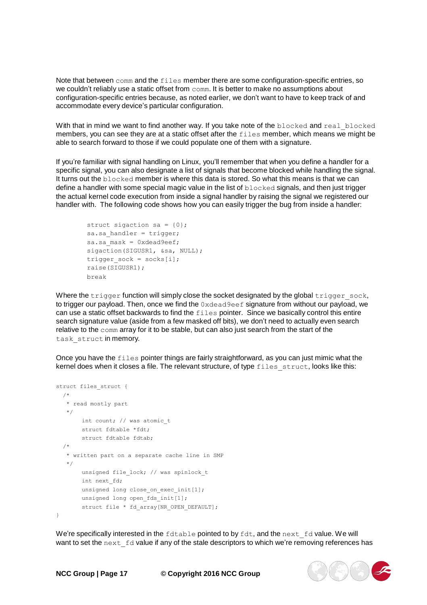Note that between comm and the files member there are some configuration-specific entries, so we couldn't reliably use a static offset from comm. It is better to make no assumptions about configuration-specific entries because, as noted earlier, we don't want to have to keep track of and accommodate every device's particular configuration.

With that in mind we want to find another way. If you take note of the blocked and real blocked members, you can see they are at a static offset after the files member, which means we might be able to search forward to those if we could populate one of them with a signature.

If you're familiar with signal handling on Linux, you'll remember that when you define a handler for a specific signal, you can also designate a list of signals that become blocked while handling the signal. It turns out the blocked member is where this data is stored. So what this means is that we can define a handler with some special magic value in the list of blocked signals, and then just trigger the actual kernel code execution from inside a signal handler by raising the signal we registered our handler with. The following code shows how you can easily trigger the bug from inside a handler:

```
struct sigaction sa = {0}; 
sa.sa handler = trigger;
sa.sa mask = 0xdead9eef;
sigaction(SIGUSR1, &sa, NULL);
trigger_sock = socks[i]; 
raise(SIGUSR1);
break
```
Where the  $triagger$  function will simply close the socket designated by the global  $triagger$  sock, to trigger our payload. Then, once we find the 0xdead9eef signature from without our payload, we can use a static offset backwards to find the files pointer. Since we basically control this entire search signature value (aside from a few masked off bits), we don't need to actually even search relative to the comm array for it to be stable, but can also just search from the start of the task struct in memory.

Once you have the files pointer things are fairly straightforward, as you can just mimic what the kernel does when it closes a file. The relevant structure, of type files struct, looks like this:

```
struct files struct {
  /*
  * read mostly part
   \star /
      int count; // was atomic t
      struct fdtable *fdt; 
      struct fdtable fdtab;
  /*
   * written part on a separate cache line in SMP
   */
       unsigned file_lock; // was spinlock_t 
       int next_fd;
       unsigned long close_on_exec_init[1]; 
       unsigned long open fds init[1];
       struct file * fd array[NR_OPEN_DEFAULT];
}
```
We're specifically interested in the fdtable pointed to by fdt, and the next fd value. We will want to set the next  $fd$  value if any of the stale descriptors to which we're removing references has

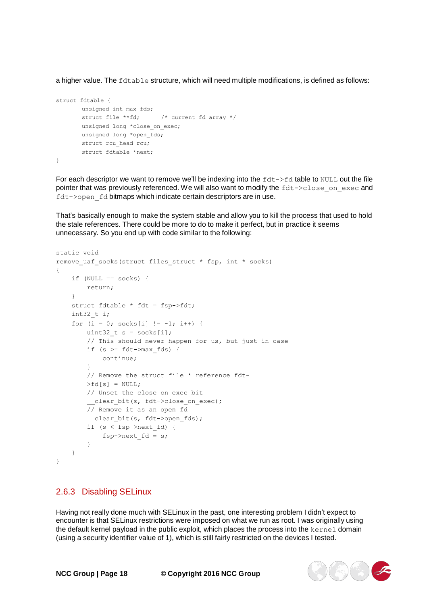a higher value. The fdtable structure, which will need multiple modifications, is defined as follows:

```
struct fdtable {
       unsigned int max fds;
       struct file **fd; /* current fd array */ 
       unsigned long *close on exec;
       unsigned long *open fds;
      struct rcu head rcu;
       struct fdtable *next;
}
```
For each descriptor we want to remove we'll be indexing into the  $fdt$ -> $fdt$  table to NULL out the file pointer that was previously referenced. We will also want to modify the  $fdt->close$  on exec and fdt->open fd bitmaps which indicate certain descriptors are in use.

That's basically enough to make the system stable and allow you to kill the process that used to hold the stale references. There could be more to do to make it perfect, but in practice it seems unnecessary. So you end up with code similar to the following:

```
static void
remove uaf socks(struct files struct * fsp, int * socks)
{
    if (NULL == socks) { 
       return;
    }
    struct fdtable * fdt = fsp->fdt; 
    int32 t i;
    for (i = 0; \text{ socks}[i] != -1; i++) {
       uint32 t s = socks[i];
        // This should never happen for us, but just in case 
        if (s >= fdt->max fds) {
           continue;
        }
        // Remove the struct file * reference fdt-
        >\text{fd}[s] = NULL;// Unset the close on exec bit
        clear bit(s, fdt->close on exec);
        // Remove it as an open fd
        clear bit(s, fdt->open fds);
        if (s < fsp->next_fd) {
           fsp->next fd = s;}
   }
}
```
#### <span id="page-17-0"></span>2.6.3 Disabling SELinux

Having not really done much with SELinux in the past, one interesting problem I didn't expect to encounter is that SELinux restrictions were imposed on what we run as root. I was originally using the default kernel payload in the public exploit, which places the process into the kernel domain (using a security identifier value of 1), which is still fairly restricted on the devices I tested.

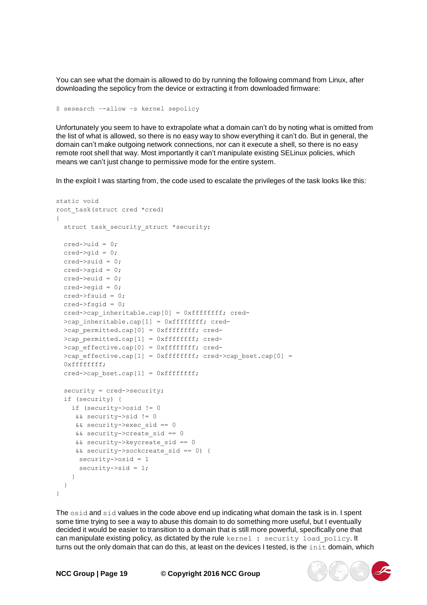You can see what the domain is allowed to do by running the following command from Linux, after downloading the sepolicy from the device or extracting it from downloaded firmware:

\$ sesearch –-allow –s kernel sepolicy

Unfortunately you seem to have to extrapolate what a domain can't do by noting what is omitted from the list of what is allowed, so there is no easy way to show everything it can't do. But in general, the domain can't make outgoing network connections, nor can it execute a shell, so there is no easy remote root shell that way. Most importantly it can't manipulate existing SELinux policies, which means we can't just change to permissive mode for the entire system.

In the exploit I was starting from, the code used to escalate the privileges of the task looks like this:

```
static void 
root_task(struct cred *cred)
{
 struct task security struct *security;
 cred->uid = 0;
 \text{cred}-\text{crid} = 0:
 cred \rightarrow sud = 0;cred->sqid = 0;
 cred->euid = 0;
 cred->eqid = 0;
 cred->fsuid = 0;
 cred->fsgid = 0;
 cred->cap_inheritable.cap[0] = 0xffffffff; cred-
 >cap_inheritable.cap[1] = 0xffffffff; cred-
 >cap_permitted.cap[0] = 0xffffffff; cred-
 >cap permitted.cap[1] = 0xffffffff; cred-
 >cap effective.cap[0] = 0xffffffff; cred-
 >cap effective.cap[1] = 0xffffffff; cred->cap bset.cap[0] =
  0xffffffff;
  cred ->cap bset.cap[1] = 0xffffffff;
  security = cred->security; 
  if (security) {
   if (security->osid != 0
    && security->sid != 0
     && security->exec_sid == 0
     && security->create_sid == 0
     && security->keycreate_sid == 0
     && security->sockcreate_sid == 0) { 
     security->osid = 1
     security \rightarrow sid = 1;}
  }
}
```
The osid and sid values in the code above end up indicating what domain the task is in. I spent some time trying to see a way to abuse this domain to do something more useful, but I eventually decided it would be easier to transition to a domain that is still more powerful, specifically one that can manipulate existing policy, as dictated by the rule kernel : security load policy. It turns out the only domain that can do this, at least on the devices I tested, is the init domain, which

**NCC Group | Page 19 © Copyright 2016 NCC Group**

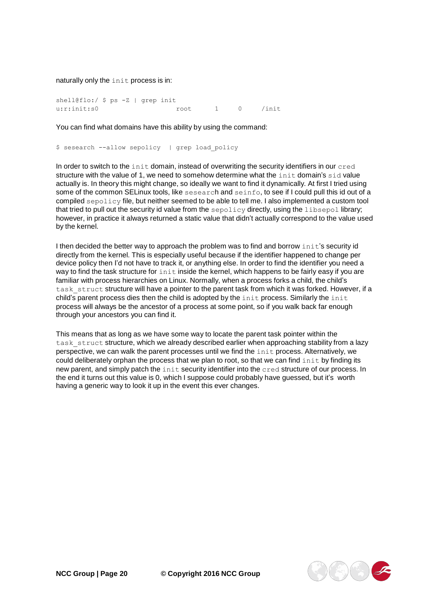naturally only the init process is in:

shell@flo:/ \$ ps -Z | grep init u:r:init:s0 root 1 0 /init

You can find what domains have this ability by using the command:

\$ sesearch --allow sepolicy | grep load policy

In order to switch to the init domain, instead of overwriting the security identifiers in our cred structure with the value of 1, we need to somehow determine what the init domain's sid value actually is. In theory this might change, so ideally we want to find it dynamically. At first I tried using some of the common SELinux tools, like sesearch and seinfo, to see if I could pull this id out of a compiled sepolicy file, but neither seemed to be able to tell me. I also implemented a custom tool that tried to pull out the security id value from the sepolicy directly, using the libsepol library; however, in practice it always returned a static value that didn't actually correspond to the value used by the kernel.

I then decided the better way to approach the problem was to find and borrow init's security id directly from the kernel. This is especially useful because if the identifier happened to change per device policy then I'd not have to track it, or anything else. In order to find the identifier you need a way to find the task structure for init inside the kernel, which happens to be fairly easy if you are familiar with process hierarchies on Linux. Normally, when a process forks a child, the child's task struct structure will have a pointer to the parent task from which it was forked. However, if a child's parent process dies then the child is adopted by the init process. Similarly the init process will always be the ancestor of a process at some point, so if you walk back far enough through your ancestors you can find it.

This means that as long as we have some way to locate the parent task pointer within the task struct structure, which we already described earlier when approaching stability from a lazy perspective, we can walk the parent processes until we find the init process. Alternatively, we could deliberately orphan the process that we plan to root, so that we can find init by finding its new parent, and simply patch the init security identifier into the cred structure of our process. In the end it turns out this value is 0, which I suppose could probably have guessed, but it's worth having a generic way to look it up in the event this ever changes.

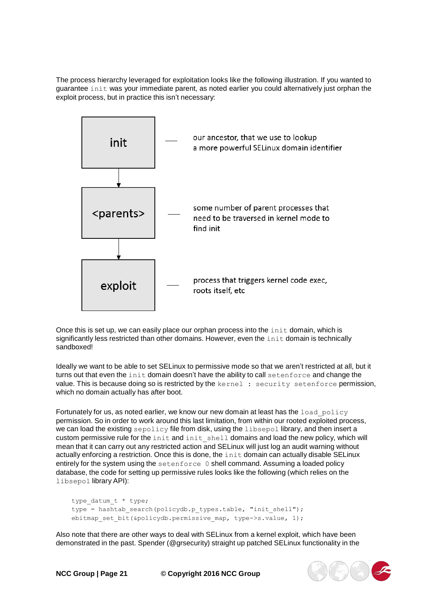The process hierarchy leveraged for exploitation looks like the following illustration. If you wanted to guarantee init was your immediate parent, as noted earlier you could alternatively just orphan the exploit process, but in practice this isn't necessary:



Once this is set up, we can easily place our orphan process into the init domain, which is significantly less restricted than other domains. However, even the init domain is technically sandboxed!

Ideally we want to be able to set SELinux to permissive mode so that we aren't restricted at all, but it turns out that even the init domain doesn't have the ability to call setenforce and change the value. This is because doing so is restricted by the kernel : security setenforce permission, which no domain actually has after boot.

Fortunately for us, as noted earlier, we know our new domain at least has the load policy permission. So in order to work around this last limitation, from within our rooted exploited process, we can load the existing sepolicy file from disk, using the libsepol library, and then insert a custom permissive rule for the init and init shell domains and load the new policy, which will mean that it can carry out any restricted action and SELinux will just log an audit warning without actually enforcing a restriction. Once this is done, the init domain can actually disable SELinux entirely for the system using the setenforce 0 shell command. Assuming a loaded policy database, the code for setting up permissive rules looks like the following (which relies on the libsepol library API):

```
type_datum_t * type;
type = hashtab_search(policydb.p_types.table, "init_shell"); 
ebitmap set bit(&policydb.permissive map, type->s.value, 1);
```
Also note that there are other ways to deal with SELinux from a kernel exploit, which have been demonstrated in the past. Spender (@grsecurity) straight up patched SELinux functionality in the